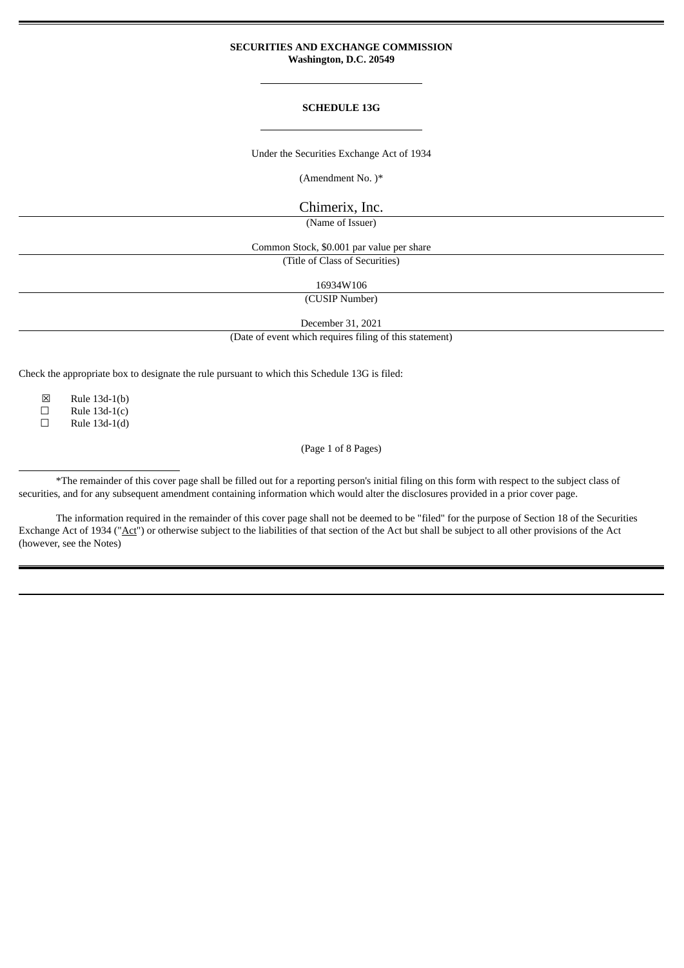# **SECURITIES AND EXCHANGE COMMISSION Washington, D.C. 20549**

# **SCHEDULE 13G**

Under the Securities Exchange Act of 1934

(Amendment No. )\*

Chimerix, Inc.

(Name of Issuer)

Common Stock, \$0.001 par value per share (Title of Class of Securities)

16934W106

(CUSIP Number)

December 31, 2021

(Date of event which requires filing of this statement)

Check the appropriate box to designate the rule pursuant to which this Schedule 13G is filed:

 $\boxtimes$  Rule 13d-1(b)<br>  $\Box$  Rule 13d-1(c)

 $\Box$  Rule 13d-1(c)

☐ Rule 13d-1(d)

(Page 1 of 8 Pages)

\*The remainder of this cover page shall be filled out for a reporting person's initial filing on this form with respect to the subject class of securities, and for any subsequent amendment containing information which would alter the disclosures provided in a prior cover page.

The information required in the remainder of this cover page shall not be deemed to be "filed" for the purpose of Section 18 of the Securities Exchange Act of 1934 ("Act") or otherwise subject to the liabilities of that section of the Act but shall be subject to all other provisions of the Act (however, see the Notes)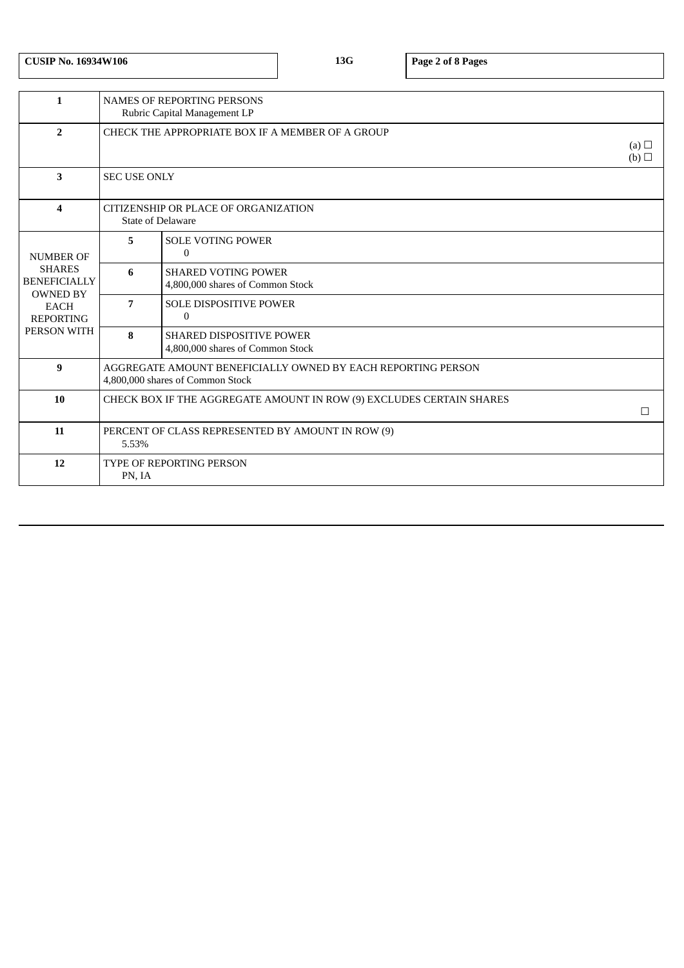|  | <b>CUSIP No. 16934W106</b> |
|--|----------------------------|
|--|----------------------------|

**CUSIP No. 16934W106 13G Page 2 of 8 Pages**

| $\mathbf{1}$                                            | <b>NAMES OF REPORTING PERSONS</b><br>Rubric Capital Management LP                                |                                                                     |  |
|---------------------------------------------------------|--------------------------------------------------------------------------------------------------|---------------------------------------------------------------------|--|
| $\overline{2}$                                          | CHECK THE APPROPRIATE BOX IF A MEMBER OF A GROUP<br>(a) $\Box$<br>(b)                            |                                                                     |  |
| 3                                                       | <b>SEC USE ONLY</b>                                                                              |                                                                     |  |
| 4                                                       | CITIZENSHIP OR PLACE OF ORGANIZATION<br><b>State of Delaware</b>                                 |                                                                     |  |
| <b>NUMBER OF</b>                                        | 5                                                                                                | <b>SOLE VOTING POWER</b><br>$\Omega$                                |  |
| <b>SHARES</b><br><b>BENEFICIALLY</b><br><b>OWNED BY</b> | 6                                                                                                | <b>SHARED VOTING POWER</b><br>4,800,000 shares of Common Stock      |  |
| <b>EACH</b><br><b>REPORTING</b>                         | 7                                                                                                | <b>SOLE DISPOSITIVE POWER</b><br>$\Omega$                           |  |
| PERSON WITH                                             | 8                                                                                                | <b>SHARED DISPOSITIVE POWER</b><br>4,800,000 shares of Common Stock |  |
| 9                                                       | AGGREGATE AMOUNT BENEFICIALLY OWNED BY EACH REPORTING PERSON<br>4,800,000 shares of Common Stock |                                                                     |  |
| 10                                                      | CHECK BOX IF THE AGGREGATE AMOUNT IN ROW (9) EXCLUDES CERTAIN SHARES<br>□                        |                                                                     |  |
| 11                                                      | PERCENT OF CLASS REPRESENTED BY AMOUNT IN ROW (9)<br>5.53%                                       |                                                                     |  |
| 12                                                      | <b>TYPE OF REPORTING PERSON</b><br>PN, IA                                                        |                                                                     |  |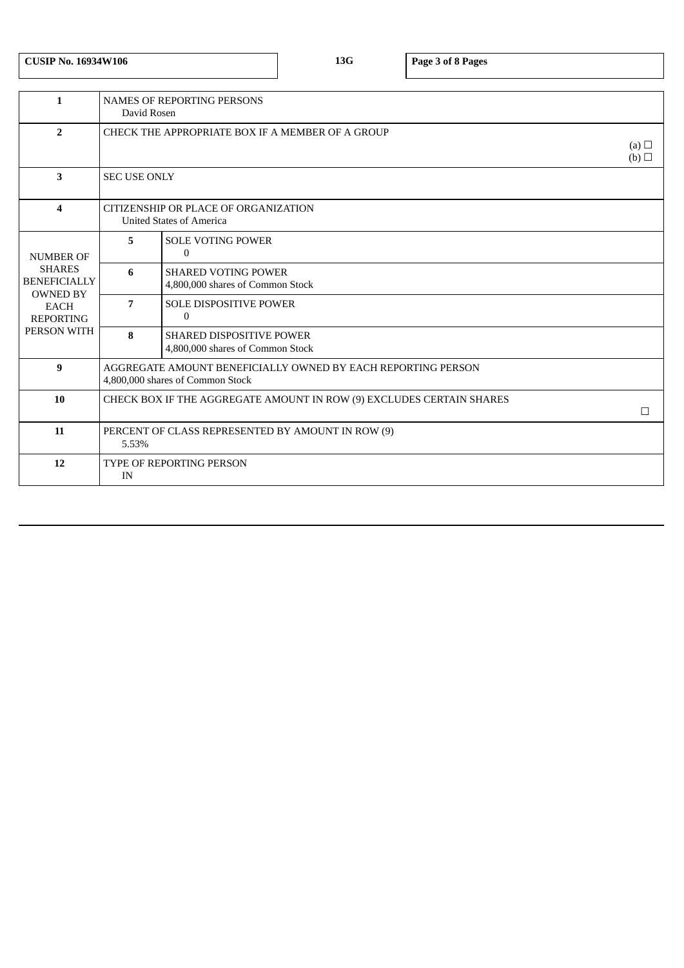**CUSIP No. 16934W106 13G Page 3 of 8 Pages**

| $\mathbf{1}$                                                                                              | <b>NAMES OF REPORTING PERSONS</b><br>David Rosen                                                 |                                                                     |  |  |
|-----------------------------------------------------------------------------------------------------------|--------------------------------------------------------------------------------------------------|---------------------------------------------------------------------|--|--|
| $\overline{2}$                                                                                            | CHECK THE APPROPRIATE BOX IF A MEMBER OF A GROUP<br>(a) $\Box$<br>(b)                            |                                                                     |  |  |
| 3                                                                                                         | <b>SEC USE ONLY</b>                                                                              |                                                                     |  |  |
| $\boldsymbol{4}$                                                                                          | CITIZENSHIP OR PLACE OF ORGANIZATION<br><b>United States of America</b>                          |                                                                     |  |  |
| <b>NUMBER OF</b>                                                                                          | 5                                                                                                | <b>SOLE VOTING POWER</b><br>$\mathbf{0}$                            |  |  |
| <b>SHARES</b><br><b>BENEFICIALLY</b><br><b>OWNED BY</b><br><b>EACH</b><br><b>REPORTING</b><br>PERSON WITH | 6                                                                                                | <b>SHARED VOTING POWER</b><br>4,800,000 shares of Common Stock      |  |  |
|                                                                                                           | 7                                                                                                | <b>SOLE DISPOSITIVE POWER</b><br>$\Omega$                           |  |  |
|                                                                                                           | 8                                                                                                | <b>SHARED DISPOSITIVE POWER</b><br>4,800,000 shares of Common Stock |  |  |
| 9                                                                                                         | AGGREGATE AMOUNT BENEFICIALLY OWNED BY EACH REPORTING PERSON<br>4,800,000 shares of Common Stock |                                                                     |  |  |
| 10                                                                                                        | CHECK BOX IF THE AGGREGATE AMOUNT IN ROW (9) EXCLUDES CERTAIN SHARES<br>П                        |                                                                     |  |  |
| 11                                                                                                        | PERCENT OF CLASS REPRESENTED BY AMOUNT IN ROW (9)<br>5.53%                                       |                                                                     |  |  |
| 12                                                                                                        | <b>TYPE OF REPORTING PERSON</b><br>IN                                                            |                                                                     |  |  |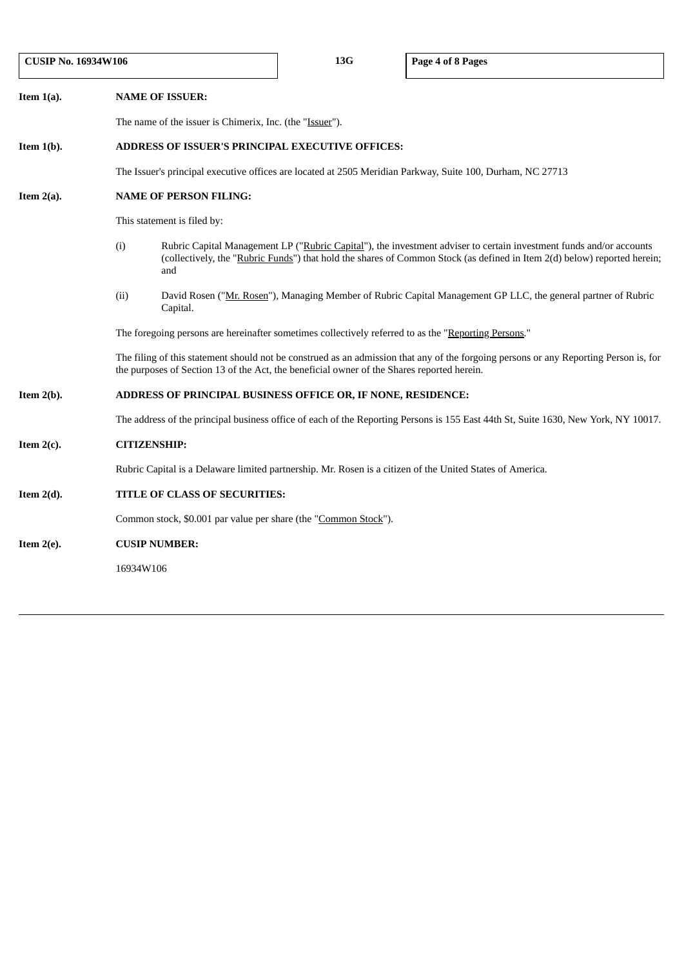| <b>CUSIP No. 16934W106</b> |                                                                                                                                   | 13G                                                                                                                                                                                                                                                    | Page 4 of 8 Pages |                                                                                                                                    |  |
|----------------------------|-----------------------------------------------------------------------------------------------------------------------------------|--------------------------------------------------------------------------------------------------------------------------------------------------------------------------------------------------------------------------------------------------------|-------------------|------------------------------------------------------------------------------------------------------------------------------------|--|
| Item $1(a)$ .              |                                                                                                                                   | <b>NAME OF ISSUER:</b>                                                                                                                                                                                                                                 |                   |                                                                                                                                    |  |
|                            |                                                                                                                                   | The name of the issuer is Chimerix, Inc. (the "Issuer").                                                                                                                                                                                               |                   |                                                                                                                                    |  |
| Item $1(b)$ .              |                                                                                                                                   | <b>ADDRESS OF ISSUER'S PRINCIPAL EXECUTIVE OFFICES:</b>                                                                                                                                                                                                |                   |                                                                                                                                    |  |
|                            |                                                                                                                                   | The Issuer's principal executive offices are located at 2505 Meridian Parkway, Suite 100, Durham, NC 27713                                                                                                                                             |                   |                                                                                                                                    |  |
| Item $2(a)$ .              |                                                                                                                                   | <b>NAME OF PERSON FILING:</b>                                                                                                                                                                                                                          |                   |                                                                                                                                    |  |
|                            |                                                                                                                                   | This statement is filed by:                                                                                                                                                                                                                            |                   |                                                                                                                                    |  |
|                            | (i)                                                                                                                               | Rubric Capital Management LP ("Rubric Capital"), the investment adviser to certain investment funds and/or accounts<br>(collectively, the "Rubric Funds") that hold the shares of Common Stock (as defined in Item 2(d) below) reported herein;<br>and |                   |                                                                                                                                    |  |
|                            | (ii)<br>David Rosen ("Mr. Rosen"), Managing Member of Rubric Capital Management GP LLC, the general partner of Rubric<br>Capital. |                                                                                                                                                                                                                                                        |                   |                                                                                                                                    |  |
|                            |                                                                                                                                   | The foregoing persons are hereinafter sometimes collectively referred to as the "Reporting Persons."                                                                                                                                                   |                   |                                                                                                                                    |  |
|                            |                                                                                                                                   | The filing of this statement should not be construed as an admission that any of the forgoing persons or any Reporting Person is, for<br>the purposes of Section 13 of the Act, the beneficial owner of the Shares reported herein.                    |                   |                                                                                                                                    |  |
| Item $2(b)$ .              |                                                                                                                                   | ADDRESS OF PRINCIPAL BUSINESS OFFICE OR, IF NONE, RESIDENCE:                                                                                                                                                                                           |                   |                                                                                                                                    |  |
|                            |                                                                                                                                   |                                                                                                                                                                                                                                                        |                   | The address of the principal business office of each of the Reporting Persons is 155 East 44th St, Suite 1630, New York, NY 10017. |  |
| Item $2(c)$ .              |                                                                                                                                   | <b>CITIZENSHIP:</b>                                                                                                                                                                                                                                    |                   |                                                                                                                                    |  |
|                            |                                                                                                                                   | Rubric Capital is a Delaware limited partnership. Mr. Rosen is a citizen of the United States of America.                                                                                                                                              |                   |                                                                                                                                    |  |
| Item $2(d)$ .              |                                                                                                                                   | TITLE OF CLASS OF SECURITIES:                                                                                                                                                                                                                          |                   |                                                                                                                                    |  |
|                            | Common stock, \$0.001 par value per share (the "Common Stock").                                                                   |                                                                                                                                                                                                                                                        |                   |                                                                                                                                    |  |
| Item $2(e)$ .              |                                                                                                                                   | <b>CUSIP NUMBER:</b>                                                                                                                                                                                                                                   |                   |                                                                                                                                    |  |
|                            |                                                                                                                                   | 16934W106                                                                                                                                                                                                                                              |                   |                                                                                                                                    |  |
|                            |                                                                                                                                   |                                                                                                                                                                                                                                                        |                   |                                                                                                                                    |  |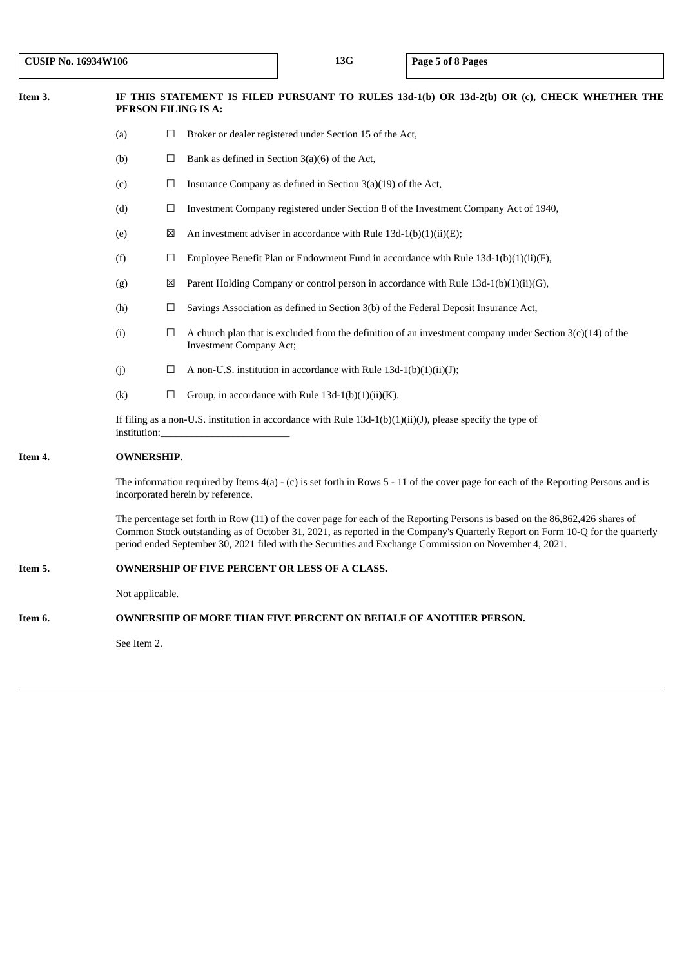| Item 3.       | IF THIS STATEMENT IS FILED PURSUANT TO RULES 13d-1(b) OR 13d-2(b) OR (c), CHECK WHETHER THE<br>PERSON FILING IS A:                                                                                                                                                                                                                                                       |        |                                                                                                                                               |
|---------------|--------------------------------------------------------------------------------------------------------------------------------------------------------------------------------------------------------------------------------------------------------------------------------------------------------------------------------------------------------------------------|--------|-----------------------------------------------------------------------------------------------------------------------------------------------|
|               | Broker or dealer registered under Section 15 of the Act,<br>(a)<br>$\Box$                                                                                                                                                                                                                                                                                                |        |                                                                                                                                               |
| (b)<br>⊔      |                                                                                                                                                                                                                                                                                                                                                                          |        | Bank as defined in Section $3(a)(6)$ of the Act,                                                                                              |
| (c)<br>$\Box$ |                                                                                                                                                                                                                                                                                                                                                                          |        | Insurance Company as defined in Section 3(a)(19) of the Act,                                                                                  |
|               | (d)<br>Investment Company registered under Section 8 of the Investment Company Act of 1940,<br>$\Box$                                                                                                                                                                                                                                                                    |        |                                                                                                                                               |
|               | ⊠<br>An investment adviser in accordance with Rule $13d-1(b)(1)(ii)(E)$ ;<br>(e)                                                                                                                                                                                                                                                                                         |        |                                                                                                                                               |
|               | Employee Benefit Plan or Endowment Fund in accordance with Rule 13d-1(b)(1)(ii)(F),<br>(f)<br>$\Box$                                                                                                                                                                                                                                                                     |        |                                                                                                                                               |
|               | Parent Holding Company or control person in accordance with Rule 13d-1(b)(1)(ii)(G),<br>(g)<br>⊠                                                                                                                                                                                                                                                                         |        |                                                                                                                                               |
|               | (h)                                                                                                                                                                                                                                                                                                                                                                      | ⊔      | Savings Association as defined in Section 3(b) of the Federal Deposit Insurance Act,                                                          |
|               | (i)                                                                                                                                                                                                                                                                                                                                                                      | $\Box$ | A church plan that is excluded from the definition of an investment company under Section $3(c)(14)$ of the<br><b>Investment Company Act;</b> |
|               | (j)                                                                                                                                                                                                                                                                                                                                                                      | ⊔      | A non-U.S. institution in accordance with Rule 13d-1(b)(1)(ii)(J);                                                                            |
|               | (k)                                                                                                                                                                                                                                                                                                                                                                      | $\Box$ | Group, in accordance with Rule $13d-1(b)(1)(ii)(K)$ .                                                                                         |
|               | If filing as a non-U.S. institution in accordance with Rule $13d-1(b)(1)(ii)(J)$ , please specify the type of<br>institution:                                                                                                                                                                                                                                            |        |                                                                                                                                               |
| Item 4.       | <b>OWNERSHIP.</b>                                                                                                                                                                                                                                                                                                                                                        |        |                                                                                                                                               |
|               | The information required by Items $4(a)$ - (c) is set forth in Rows 5 - 11 of the cover page for each of the Reporting Persons and is<br>incorporated herein by reference.                                                                                                                                                                                               |        |                                                                                                                                               |
|               | The percentage set forth in Row (11) of the cover page for each of the Reporting Persons is based on the 86,862,426 shares of<br>Common Stock outstanding as of October 31, 2021, as reported in the Company's Quarterly Report on Form 10-Q for the quarterly<br>period ended September 30, 2021 filed with the Securities and Exchange Commission on November 4, 2021. |        |                                                                                                                                               |
| Item 5.       | <b>OWNERSHIP OF FIVE PERCENT OR LESS OF A CLASS.</b>                                                                                                                                                                                                                                                                                                                     |        |                                                                                                                                               |
|               | Not applicable.                                                                                                                                                                                                                                                                                                                                                          |        |                                                                                                                                               |
| Item 6.       | OWNERSHIP OF MORE THAN FIVE PERCENT ON BEHALF OF ANOTHER PERSON.                                                                                                                                                                                                                                                                                                         |        |                                                                                                                                               |

See Item 2.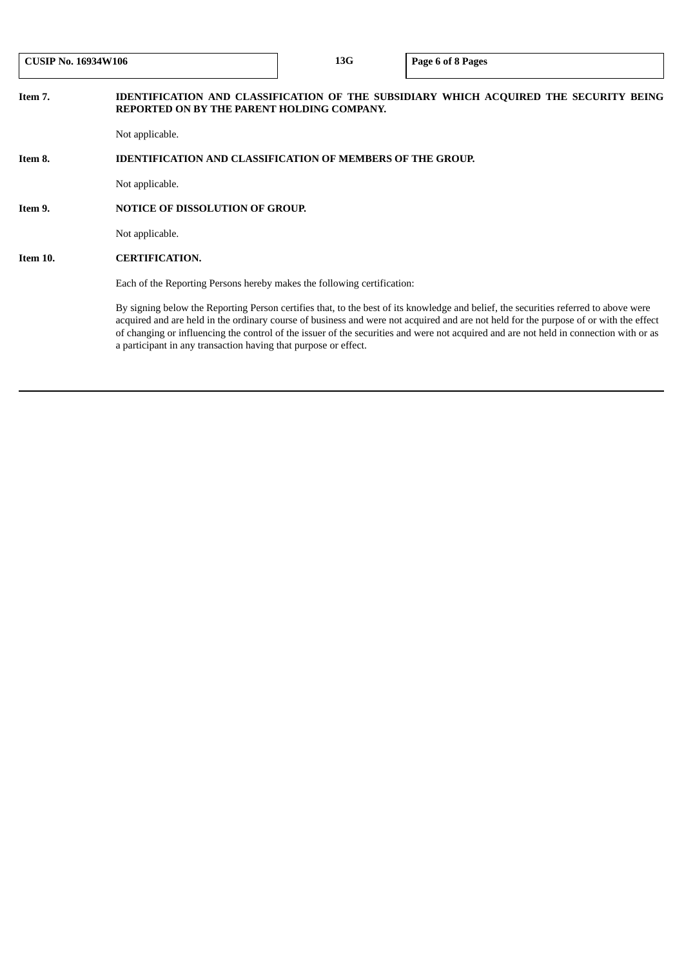| <b>CUSIP No. 16934W106</b> |                                                                   | 13G                                                                     | Page 6 of 8 Pages                                                                                                                                                                                                                                                                                                                                                                                                       |  |  |  |
|----------------------------|-------------------------------------------------------------------|-------------------------------------------------------------------------|-------------------------------------------------------------------------------------------------------------------------------------------------------------------------------------------------------------------------------------------------------------------------------------------------------------------------------------------------------------------------------------------------------------------------|--|--|--|
| Item 7.                    | REPORTED ON BY THE PARENT HOLDING COMPANY.                        |                                                                         | IDENTIFICATION AND CLASSIFICATION OF THE SUBSIDIARY WHICH ACQUIRED THE SECURITY BEING                                                                                                                                                                                                                                                                                                                                   |  |  |  |
|                            | Not applicable.                                                   |                                                                         |                                                                                                                                                                                                                                                                                                                                                                                                                         |  |  |  |
| Item 8.                    | <b>IDENTIFICATION AND CLASSIFICATION OF MEMBERS OF THE GROUP.</b> |                                                                         |                                                                                                                                                                                                                                                                                                                                                                                                                         |  |  |  |
|                            | Not applicable.                                                   |                                                                         |                                                                                                                                                                                                                                                                                                                                                                                                                         |  |  |  |
| Item 9.                    |                                                                   | <b>NOTICE OF DISSOLUTION OF GROUP.</b>                                  |                                                                                                                                                                                                                                                                                                                                                                                                                         |  |  |  |
|                            | Not applicable.                                                   |                                                                         |                                                                                                                                                                                                                                                                                                                                                                                                                         |  |  |  |
| Item 10.                   | <b>CERTIFICATION.</b>                                             |                                                                         |                                                                                                                                                                                                                                                                                                                                                                                                                         |  |  |  |
|                            |                                                                   | Each of the Reporting Persons hereby makes the following certification: |                                                                                                                                                                                                                                                                                                                                                                                                                         |  |  |  |
|                            | a participant in any transaction having that purpose or effect.   |                                                                         | By signing below the Reporting Person certifies that, to the best of its knowledge and belief, the securities referred to above were<br>acquired and are held in the ordinary course of business and were not acquired and are not held for the purpose of or with the effect<br>of changing or influencing the control of the issuer of the securities and were not acquired and are not held in connection with or as |  |  |  |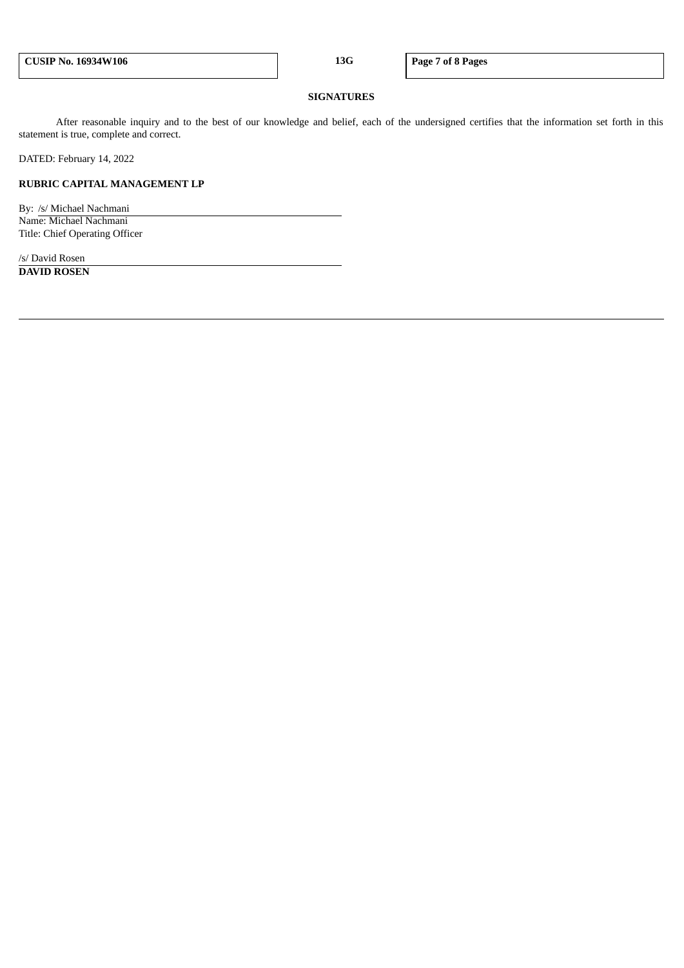#### **SIGNATURES**

After reasonable inquiry and to the best of our knowledge and belief, each of the undersigned certifies that the information set forth in this statement is true, complete and correct.

DATED: February 14, 2022

# **RUBRIC CAPITAL MANAGEMENT LP**

By: /s/ Michael Nachmani Name: Michael Nachmani Title: Chief Operating Officer

/s/ David Rosen **DAVID ROSEN**